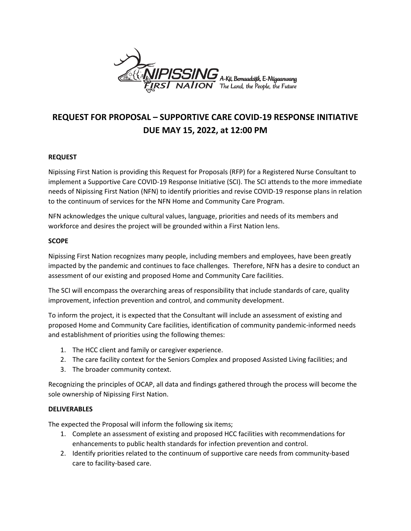

# **REQUEST FOR PROPOSAL – SUPPORTIVE CARE COVID-19 RESPONSE INITIATIVE DUE MAY 15, 2022, at 12:00 PM**

### **REQUEST**

Nipissing First Nation is providing this Request for Proposals (RFP) for a Registered Nurse Consultant to implement a Supportive Care COVID-19 Response Initiative (SCI). The SCI attends to the more immediate needs of Nipissing First Nation (NFN) to identify priorities and revise COVID-19 response plans in relation to the continuum of services for the NFN Home and Community Care Program.

NFN acknowledges the unique cultural values, language, priorities and needs of its members and workforce and desires the project will be grounded within a First Nation lens.

### **SCOPE**

Nipissing First Nation recognizes many people, including members and employees, have been greatly impacted by the pandemic and continues to face challenges. Therefore, NFN has a desire to conduct an assessment of our existing and proposed Home and Community Care facilities.

The SCI will encompass the overarching areas of responsibility that include standards of care, quality improvement, infection prevention and control, and community development.

To inform the project, it is expected that the Consultant will include an assessment of existing and proposed Home and Community Care facilities, identification of community pandemic-informed needs and establishment of priorities using the following themes:

- 1. The HCC client and family or caregiver experience.
- 2. The care facility context for the Seniors Complex and proposed Assisted Living facilities; and
- 3. The broader community context.

Recognizing the principles of OCAP, all data and findings gathered through the process will become the sole ownership of Nipissing First Nation.

### **DELIVERABLES**

The expected the Proposal will inform the following six items;

- 1. Complete an assessment of existing and proposed HCC facilities with recommendations for enhancements to public health standards for infection prevention and control.
- 2. Identify priorities related to the continuum of supportive care needs from community-based care to facility-based care.